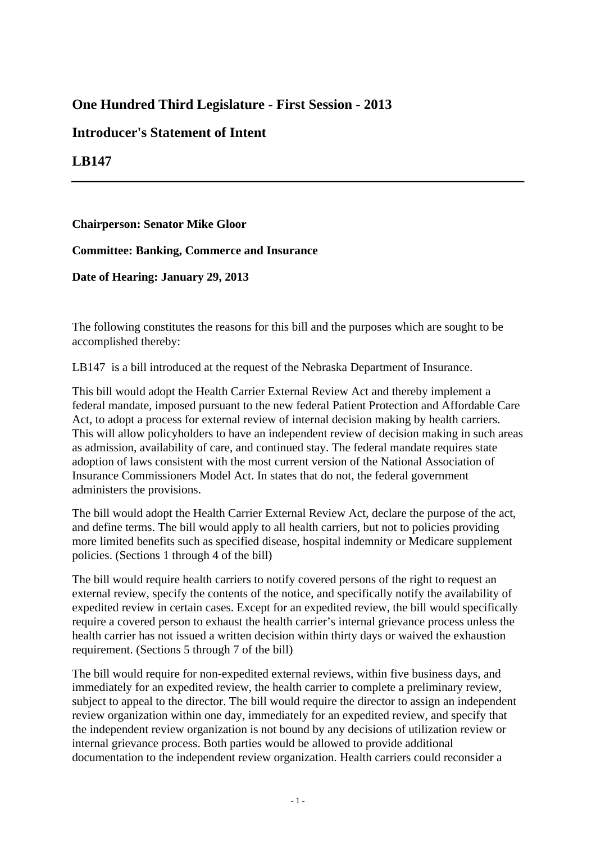# **One Hundred Third Legislature - First Session - 2013**

## **Introducer's Statement of Intent**

## **LB147**

### **Chairperson: Senator Mike Gloor**

### **Committee: Banking, Commerce and Insurance**

### **Date of Hearing: January 29, 2013**

The following constitutes the reasons for this bill and the purposes which are sought to be accomplished thereby:

LB147 is a bill introduced at the request of the Nebraska Department of Insurance.

This bill would adopt the Health Carrier External Review Act and thereby implement a federal mandate, imposed pursuant to the new federal Patient Protection and Affordable Care Act, to adopt a process for external review of internal decision making by health carriers. This will allow policyholders to have an independent review of decision making in such areas as admission, availability of care, and continued stay. The federal mandate requires state adoption of laws consistent with the most current version of the National Association of Insurance Commissioners Model Act. In states that do not, the federal government administers the provisions.

The bill would adopt the Health Carrier External Review Act, declare the purpose of the act, and define terms. The bill would apply to all health carriers, but not to policies providing more limited benefits such as specified disease, hospital indemnity or Medicare supplement policies. (Sections 1 through 4 of the bill)

The bill would require health carriers to notify covered persons of the right to request an external review, specify the contents of the notice, and specifically notify the availability of expedited review in certain cases. Except for an expedited review, the bill would specifically require a covered person to exhaust the health carrier's internal grievance process unless the health carrier has not issued a written decision within thirty days or waived the exhaustion requirement. (Sections 5 through 7 of the bill)

The bill would require for non-expedited external reviews, within five business days, and immediately for an expedited review, the health carrier to complete a preliminary review, subject to appeal to the director. The bill would require the director to assign an independent review organization within one day, immediately for an expedited review, and specify that the independent review organization is not bound by any decisions of utilization review or internal grievance process. Both parties would be allowed to provide additional documentation to the independent review organization. Health carriers could reconsider a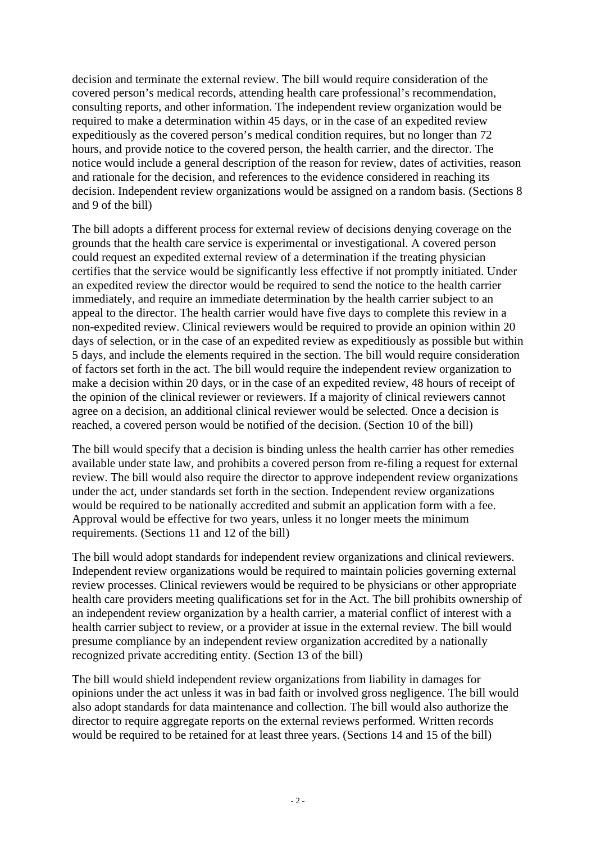decision and terminate the external review. The bill would require consideration of the covered person's medical records, attending health care professional's recommendation, consulting reports, and other information. The independent review organization would be required to make a determination within 45 days, or in the case of an expedited review expeditiously as the covered person's medical condition requires, but no longer than 72 hours, and provide notice to the covered person, the health carrier, and the director. The notice would include a general description of the reason for review, dates of activities, reason and rationale for the decision, and references to the evidence considered in reaching its decision. Independent review organizations would be assigned on a random basis. (Sections 8 and 9 of the bill)

The bill adopts a different process for external review of decisions denying coverage on the grounds that the health care service is experimental or investigational. A covered person could request an expedited external review of a determination if the treating physician certifies that the service would be significantly less effective if not promptly initiated. Under an expedited review the director would be required to send the notice to the health carrier immediately, and require an immediate determination by the health carrier subject to an appeal to the director. The health carrier would have five days to complete this review in a non-expedited review. Clinical reviewers would be required to provide an opinion within 20 days of selection, or in the case of an expedited review as expeditiously as possible but within 5 days, and include the elements required in the section. The bill would require consideration of factors set forth in the act. The bill would require the independent review organization to make a decision within 20 days, or in the case of an expedited review, 48 hours of receipt of the opinion of the clinical reviewer or reviewers. If a majority of clinical reviewers cannot agree on a decision, an additional clinical reviewer would be selected. Once a decision is reached, a covered person would be notified of the decision. (Section 10 of the bill)

The bill would specify that a decision is binding unless the health carrier has other remedies available under state law, and prohibits a covered person from re-filing a request for external review. The bill would also require the director to approve independent review organizations under the act, under standards set forth in the section. Independent review organizations would be required to be nationally accredited and submit an application form with a fee. Approval would be effective for two years, unless it no longer meets the minimum requirements. (Sections 11 and 12 of the bill)

The bill would adopt standards for independent review organizations and clinical reviewers. Independent review organizations would be required to maintain policies governing external review processes. Clinical reviewers would be required to be physicians or other appropriate health care providers meeting qualifications set for in the Act. The bill prohibits ownership of an independent review organization by a health carrier, a material conflict of interest with a health carrier subject to review, or a provider at issue in the external review. The bill would presume compliance by an independent review organization accredited by a nationally recognized private accrediting entity. (Section 13 of the bill)

The bill would shield independent review organizations from liability in damages for opinions under the act unless it was in bad faith or involved gross negligence. The bill would also adopt standards for data maintenance and collection. The bill would also authorize the director to require aggregate reports on the external reviews performed. Written records would be required to be retained for at least three years. (Sections 14 and 15 of the bill)